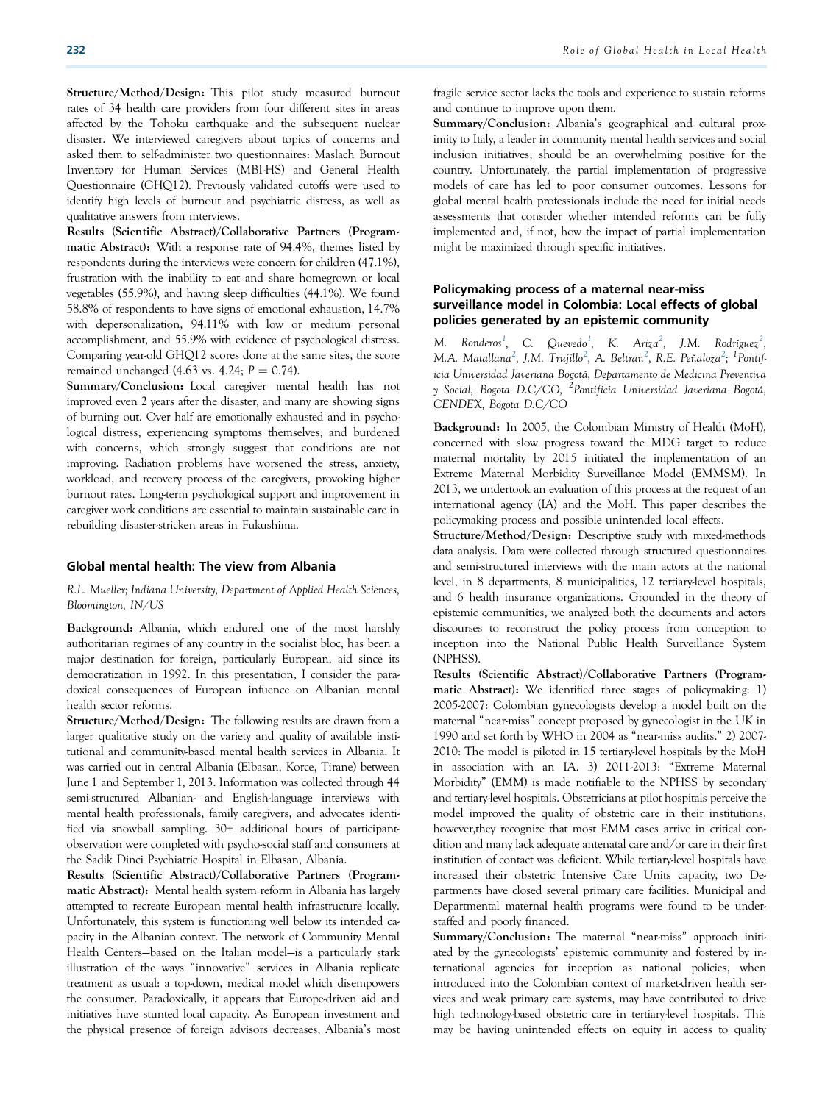Structure/Method/Design: This pilot study measured burnout rates of 34 health care providers from four different sites in areas affected by the Tohoku earthquake and the subsequent nuclear disaster. We interviewed caregivers about topics of concerns and asked them to self-administer two questionnaires: Maslach Burnout Inventory for Human Services (MBI-HS) and General Health Questionnaire (GHQ12). Previously validated cutoffs were used to identify high levels of burnout and psychiatric distress, as well as qualitative answers from interviews.

Results (Scientific Abstract)/Collaborative Partners (Programmatic Abstract): With a response rate of 94.4%, themes listed by respondents during the interviews were concern for children (47.1%), frustration with the inability to eat and share homegrown or local vegetables (55.9%), and having sleep difficulties (44.1%). We found 58.8% of respondents to have signs of emotional exhaustion, 14.7% with depersonalization, 94.11% with low or medium personal accomplishment, and 55.9% with evidence of psychological distress. Comparing year-old GHQ12 scores done at the same sites, the score remained unchanged (4.63 vs. 4.24;  $P = 0.74$ ).

Summary/Conclusion: Local caregiver mental health has not improved even 2 years after the disaster, and many are showing signs of burning out. Over half are emotionally exhausted and in psychological distress, experiencing symptoms themselves, and burdened with concerns, which strongly suggest that conditions are not improving. Radiation problems have worsened the stress, anxiety, workload, and recovery process of the caregivers, provoking higher burnout rates. Long-term psychological support and improvement in caregiver work conditions are essential to maintain sustainable care in rebuilding disaster-stricken areas in Fukushima.

#### Global mental health: The view from Albania

### R.L. Mueller; Indiana University, Department of Applied Health Sciences, Bloomington, IN/US

Background: Albania, which endured one of the most harshly authoritarian regimes of any country in the socialist bloc, has been a major destination for foreign, particularly European, aid since its democratization in 1992. In this presentation, I consider the paradoxical consequences of European infuence on Albanian mental health sector reforms.

Structure/Method/Design: The following results are drawn from a larger qualitative study on the variety and quality of available institutional and community-based mental health services in Albania. It was carried out in central Albania (Elbasan, Korce, Tirane) between June 1 and September 1, 2013. Information was collected through 44 semi-structured Albanian- and English-language interviews with mental health professionals, family caregivers, and advocates identified via snowball sampling. 30+ additional hours of participantobservation were completed with psycho-social staff and consumers at the Sadik Dinci Psychiatric Hospital in Elbasan, Albania.

Results (Scientific Abstract)/Collaborative Partners (Programmatic Abstract): Mental health system reform in Albania has largely attempted to recreate European mental health infrastructure locally. Unfortunately, this system is functioning well below its intended capacity in the Albanian context. The network of Community Mental Health Centers—based on the Italian model—is a particularly stark illustration of the ways "innovative" services in Albania replicate treatment as usual: a top-down, medical model which disempowers the consumer. Paradoxically, it appears that Europe-driven aid and initiatives have stunted local capacity. As European investment and the physical presence of foreign advisors decreases, Albania's most

fragile service sector lacks the tools and experience to sustain reforms and continue to improve upon them.

Summary/Conclusion: Albania's geographical and cultural proximity to Italy, a leader in community mental health services and social inclusion initiatives, should be an overwhelming positive for the country. Unfortunately, the partial implementation of progressive models of care has led to poor consumer outcomes. Lessons for global mental health professionals include the need for initial needs assessments that consider whether intended reforms can be fully implemented and, if not, how the impact of partial implementation might be maximized through specific initiatives.

# Policymaking process of a maternal near-miss surveillance model in Colombia: Local effects of global policies generated by an epistemic community

M. Ronderos $^1$ , C. Quevedo $^1$ , K. Ariza $^2$ , J.M. Rodríguez $^2$ , M.A. Matallana<sup>2</sup>, J.M. Trujillo<sup>2</sup>, A. Beltran<sup>2</sup>, R.E. Peñaloza<sup>2</sup>; <sup>1</sup>Pontificia Universidad Javeriana Bogotá, Departamento de Medicina Preventiva y Social, Bogota D.C/CO, <sup>2</sup>Pontificia Universidad Javeriana Bogotá, CENDEX, Bogota D.C/CO

Background: In 2005, the Colombian Ministry of Health (MoH), concerned with slow progress toward the MDG target to reduce maternal mortality by 2015 initiated the implementation of an Extreme Maternal Morbidity Surveillance Model (EMMSM). In 2013, we undertook an evaluation of this process at the request of an international agency (IA) and the MoH. This paper describes the policymaking process and possible unintended local effects.

Structure/Method/Design: Descriptive study with mixed-methods data analysis. Data were collected through structured questionnaires and semi-structured interviews with the main actors at the national level, in 8 departments, 8 municipalities, 12 tertiary-level hospitals, and 6 health insurance organizations. Grounded in the theory of epistemic communities, we analyzed both the documents and actors discourses to reconstruct the policy process from conception to inception into the National Public Health Surveillance System (NPHSS).

Results (Scientific Abstract)/Collaborative Partners (Programmatic Abstract): We identified three stages of policymaking: 1) 2005-2007: Colombian gynecologists develop a model built on the maternal "near-miss" concept proposed by gynecologist in the UK in 1990 and set forth by WHO in 2004 as "near-miss audits." 2) 2007- 2010: The model is piloted in 15 tertiary-level hospitals by the MoH in association with an IA. 3) 2011-2013: "Extreme Maternal Morbidity" (EMM) is made notifiable to the NPHSS by secondary and tertiary-level hospitals. Obstetricians at pilot hospitals perceive the model improved the quality of obstetric care in their institutions, however,they recognize that most EMM cases arrive in critical condition and many lack adequate antenatal care and/or care in their first institution of contact was deficient. While tertiary-level hospitals have increased their obstetric Intensive Care Units capacity, two Departments have closed several primary care facilities. Municipal and Departmental maternal health programs were found to be understaffed and poorly financed.

Summary/Conclusion: The maternal "near-miss" approach initiated by the gynecologists' epistemic community and fostered by international agencies for inception as national policies, when introduced into the Colombian context of market-driven health services and weak primary care systems, may have contributed to drive high technology-based obstetric care in tertiary-level hospitals. This may be having unintended effects on equity in access to quality